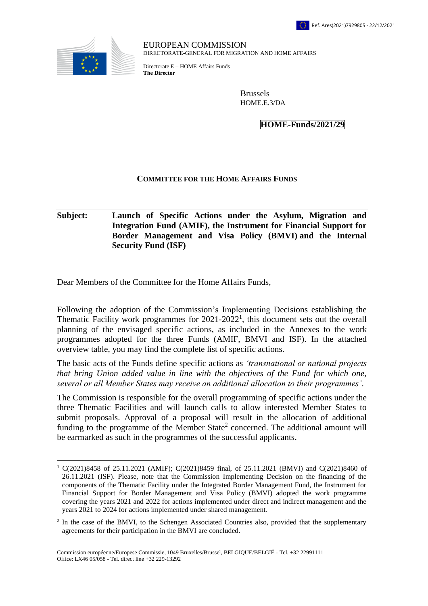

 $\overline{a}$ 

EUROPEAN COMMISSION DIRECTORATE-GENERAL FOR MIGRATION AND HOME AFFAIRS

Directorate E – HOME Affairs Funds **The Director**

> Brussels HOME.E.3/DA

> > **HOME-Funds/2021/29**

## **COMMITTEE FOR THE HOME AFFAIRS FUNDS**

## **Subject: Launch of Specific Actions under the Asylum, Migration and Integration Fund (AMIF), the Instrument for Financial Support for Border Management and Visa Policy (BMVI) and the Internal Security Fund (ISF)**

Dear Members of the Committee for the Home Affairs Funds,

Following the adoption of the Commission's Implementing Decisions establishing the Thematic Facility work programmes for  $2021-2022<sup>1</sup>$ , this document sets out the overall planning of the envisaged specific actions, as included in the Annexes to the work programmes adopted for the three Funds (AMIF, BMVI and ISF). In the attached overview table, you may find the complete list of specific actions.

The basic acts of the Funds define specific actions as *'transnational or national projects that bring Union added value in line with the objectives of the Fund for which one, several or all Member States may receive an additional allocation to their programmes'*.

The Commission is responsible for the overall programming of specific actions under the three Thematic Facilities and will launch calls to allow interested Member States to submit proposals. Approval of a proposal will result in the allocation of additional funding to the programme of the Member State<sup>2</sup> concerned. The additional amount will be earmarked as such in the programmes of the successful applicants.

<sup>1</sup> C(2021)8458 of 25.11.2021 (AMIF); C(2021)8459 final, of 25.11.2021 (BMVI) and C(2021)8460 of 26.11.2021 (ISF). Please, note that the Commission Implementing Decision on the financing of the components of the Thematic Facility under the Integrated Border Management Fund, the Instrument for Financial Support for Border Management and Visa Policy (BMVI) adopted the work programme covering the years 2021 and 2022 for actions implemented under direct and indirect management and the years 2021 to 2024 for actions implemented under shared management.

<sup>&</sup>lt;sup>2</sup> In the case of the BMVI, to the Schengen Associated Countries also, provided that the supplementary agreements for their participation in the BMVI are concluded.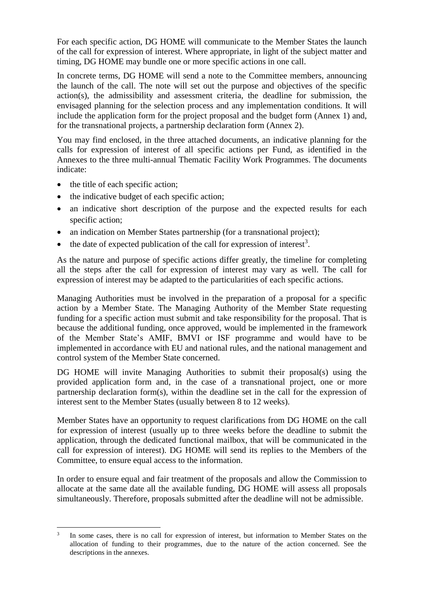For each specific action, DG HOME will communicate to the Member States the launch of the call for expression of interest. Where appropriate, in light of the subject matter and timing, DG HOME may bundle one or more specific actions in one call.

In concrete terms, DG HOME will send a note to the Committee members, announcing the launch of the call. The note will set out the purpose and objectives of the specific action(s), the admissibility and assessment criteria, the deadline for submission, the envisaged planning for the selection process and any implementation conditions. It will include the application form for the project proposal and the budget form (Annex 1) and, for the transnational projects, a partnership declaration form (Annex 2).

You may find enclosed, in the three attached documents, an indicative planning for the calls for expression of interest of all specific actions per Fund, as identified in the Annexes to the three multi-annual Thematic Facility Work Programmes. The documents indicate:

- the title of each specific action;
- the indicative budget of each specific action;
- an indicative short description of the purpose and the expected results for each specific action;
- an indication on Member States partnership (for a transnational project);
- $\bullet$  the date of expected publication of the call for expression of interest<sup>3</sup>.

As the nature and purpose of specific actions differ greatly, the timeline for completing all the steps after the call for expression of interest may vary as well. The call for expression of interest may be adapted to the particularities of each specific actions.

Managing Authorities must be involved in the preparation of a proposal for a specific action by a Member State. The Managing Authority of the Member State requesting funding for a specific action must submit and take responsibility for the proposal. That is because the additional funding, once approved, would be implemented in the framework of the Member State's AMIF, BMVI or ISF programme and would have to be implemented in accordance with EU and national rules, and the national management and control system of the Member State concerned.

DG HOME will invite Managing Authorities to submit their proposal(s) using the provided application form and, in the case of a transnational project, one or more partnership declaration form(s), within the deadline set in the call for the expression of interest sent to the Member States (usually between 8 to 12 weeks).

Member States have an opportunity to request clarifications from DG HOME on the call for expression of interest (usually up to three weeks before the deadline to submit the application, through the dedicated functional mailbox, that will be communicated in the call for expression of interest). DG HOME will send its replies to the Members of the Committee, to ensure equal access to the information.

In order to ensure equal and fair treatment of the proposals and allow the Commission to allocate at the same date all the available funding, DG HOME will assess all proposals simultaneously. Therefore, proposals submitted after the deadline will not be admissible.

 $\overline{a}$ 3 In some cases, there is no call for expression of interest, but information to Member States on the allocation of funding to their programmes, due to the nature of the action concerned. See the descriptions in the annexes.